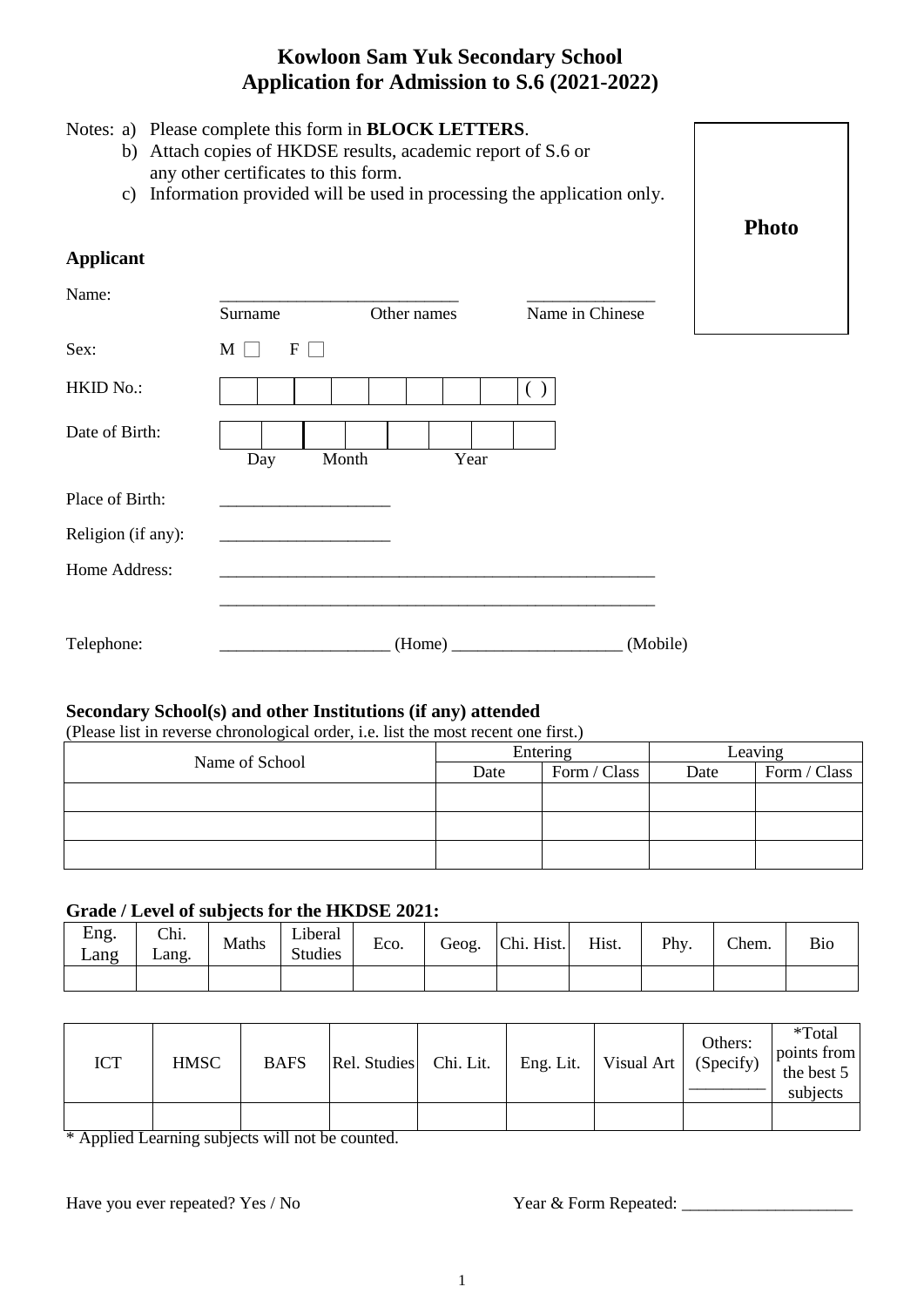# **Kowloon Sam Yuk Secondary School Application for Admission to S.6 (2021-2022)**

### Notes: a) Please complete this form in **BLOCK LETTERS**.

- b) Attach copies of HKDSE results, academic report of S.6 or any other certificates to this form.
- c) Information provided will be used in processing the application only.



#### **Applicant**

| Name:              |               | Other names   | Name in Chinese |
|--------------------|---------------|---------------|-----------------|
|                    | Surname       |               |                 |
| Sex:               | F<br>$M \mid$ |               |                 |
| HKID No.:          |               |               |                 |
| Date of Birth:     | Day           | Month<br>Year |                 |
| Place of Birth:    |               |               |                 |
| Religion (if any): |               |               |                 |
| Home Address:      |               |               |                 |
| Telephone:         |               | (Home)        | (Mobile)        |

### **Secondary School(s) and other Institutions (if any) attended**

(Please list in reverse chronological order, i.e. list the most recent one first.)

| Name of School |      | Entering     | Leaving |              |  |
|----------------|------|--------------|---------|--------------|--|
|                | Date | Form / Class | Date    | Form / Class |  |
|                |      |              |         |              |  |
|                |      |              |         |              |  |
|                |      |              |         |              |  |

## **Grade / Level of subjects for the HKDSE 2021:**

| Eng.<br>Lang | Chi.<br>$\mathcal{L}$ ang. | Maths | Liberal<br><b>Studies</b> | Eco. | Geog. | Chi. Hist. | Hist. | Phy. | Chem. | <b>Bio</b> |
|--------------|----------------------------|-------|---------------------------|------|-------|------------|-------|------|-------|------------|
|              |                            |       |                           |      |       |            |       |      |       |            |

| <b>ICT</b> | <b>HMSC</b> | <b>BAFS</b>              | Rel. Studies Chi. Lit. |  | Eng. Lit.   Visual Art   $(Specify)$ | Others: | *Total<br>points from<br>the best $5 \mid$<br>subjects |
|------------|-------------|--------------------------|------------------------|--|--------------------------------------|---------|--------------------------------------------------------|
| -- - -     |             | $\overline{\phantom{a}}$ |                        |  |                                      |         |                                                        |

\* Applied Learning subjects will not be counted.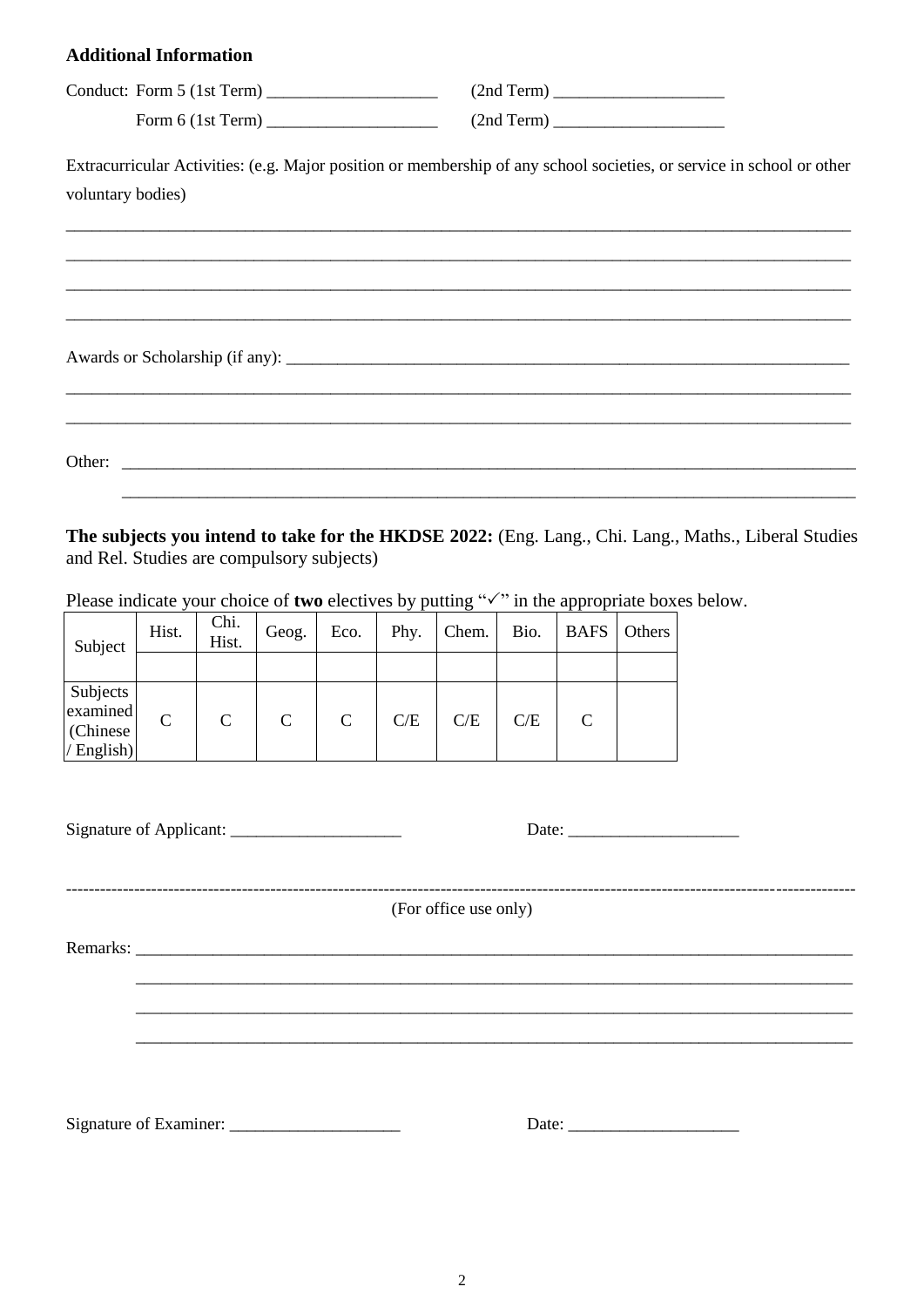#### **Additional Information**

| Conduct: Form 5 (1st Term) | (2nd Term) |
|----------------------------|------------|
| Form 6 (1st Term)          | (2nd Term) |

Extracurricular Activities: (e.g. Major position or membership of any school societies, or service in school or other voluntary bodies)

Other:

The subjects you intend to take for the HKDSE 2022: (Eng. Lang., Chi. Lang., Maths., Liberal Studies and Rel. Studies are compulsory subjects)

Please indicate your choice of two electives by putting " $\checkmark$ " in the appropriate boxes below.

| Subject                                         | Hist.        | Chi.<br>Hist. | Geog.        | Eco.         | Phy. | Chem. | Bio. | <b>BAFS</b>   | Others |
|-------------------------------------------------|--------------|---------------|--------------|--------------|------|-------|------|---------------|--------|
|                                                 |              |               |              |              |      |       |      |               |        |
| Subjects<br>examined<br>(Chinese)<br>/ English) | $\mathsf{C}$ | $\mathsf{C}$  | $\mathbf{C}$ | $\mathsf{C}$ | C/E  | C/E   | C/E  | $\mathcal{C}$ |        |

|  |  | (For office use only) |  |  |  |
|--|--|-----------------------|--|--|--|
|  |  |                       |  |  |  |
|  |  |                       |  |  |  |
|  |  |                       |  |  |  |
|  |  |                       |  |  |  |
|  |  |                       |  |  |  |

 $\overline{2}$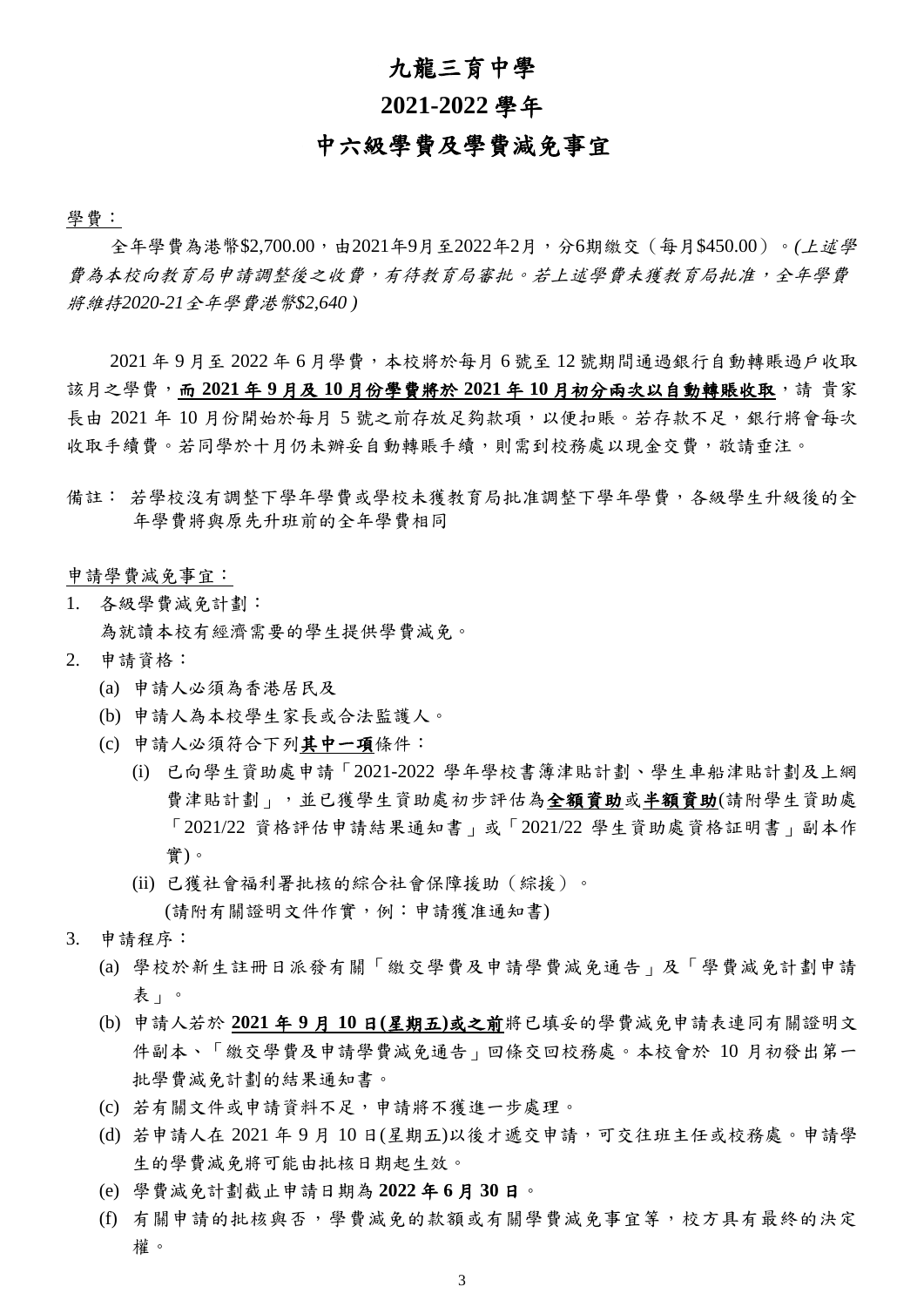# 九龍三育中學

## **2021-2022** 學年

# 中六級學費及學費減免事宜

學費:

全年學費為港幣\$2,700.00,由2021年9月至2022年2月,分6期繳交(每月\$450.00)。*(*上述學 費為本校向教育局申請調整後之收費,有待教育局審批。若上述學費未獲教育局批准,全年學費 將維持*2020-21*全年學費港幣*\$2,640 )*

2021 年 9 月至 2022 年 6 月學費,本校將於每月 6 號至 12 號期間通過銀行自動轉賬過戶收取 該月之學費,而 **2021** 年 **9** 月及 **10** 月份學費將於 **2021** 年 **10** 月初分兩次以自動轉賬收取,請 貴家 長由 2021年 10 月份開始於每月 5 號之前存放足夠款項, 以便扣賬。若存款不足, 銀行將會每次 收取手續費。若同學於十月仍未辦妥自動轉賬手續,則需到校務處以現金交費,敬請垂注。

備註: 若學校沒有調整下學年學費或學校未獲教育局批准調整下學年學費,各級學生升級後的全 年學費將與原先升班前的全年學費相同

申請學費減免事宜:

- 1. 各級學費減免計劃: 為就讀本校有經濟需要的學生提供學費減免。
- 2. 申請資格:
	- (a) 申請人必須為香港居民及
	- (b) 申請人為本校學生家長或合法監護人。
	- (c) 申請人必須符合下列其中一項條件:
		- (i) 已向學生資助處申請「2021-2022 學年學校書簿津貼計劃、學生車船津貼計劃及上網 費津貼計劃」,並已獲學生資助處初步評估為全額資助或半額資助(請附學生資助處 「2021/22 資格評估申請結果通知書」或「2021/22 學生資助處資格証明書」副本作 實)。
		- (ii) 已獲社會福利署批核的綜合社會保障援助(綜援)。

(請附有關證明文件作實,例:申請獲准通知書)

- 3. 申請程序:
	- (a) 學校於新生註冊日派發有關「繳交學費及申請學費減免通告」及「學費減免計劃申請 表」。
	- (b) 申請人若於 **2021** 年 **9** 月 **10** 日**(**星期五**)**或之前將已填妥的學費減免申請表連同有關證明文 件副本、「繳交學費及申請學費減免通告」回條交回校務處。本校會於 10 月初發出第一 批學費減免計劃的結果通知書。
	- (c) 若有關文件或申請資料不足,申請將不獲進一步處理。
	- (d) 若申請人在 2021 年 9 月 10 日(星期五)以後才遞交申請,可交往班主任或校務處。申請學 生的學費減免將可能由批核日期起生效。
	- (e) 學費減免計劃截止申請日期為 **2022** 年 **6** 月 **30** 日。
	- (f) 有關申請的批核與否,學費減免的款額或有關學費減免事宜等,校方具有最終的決定 權。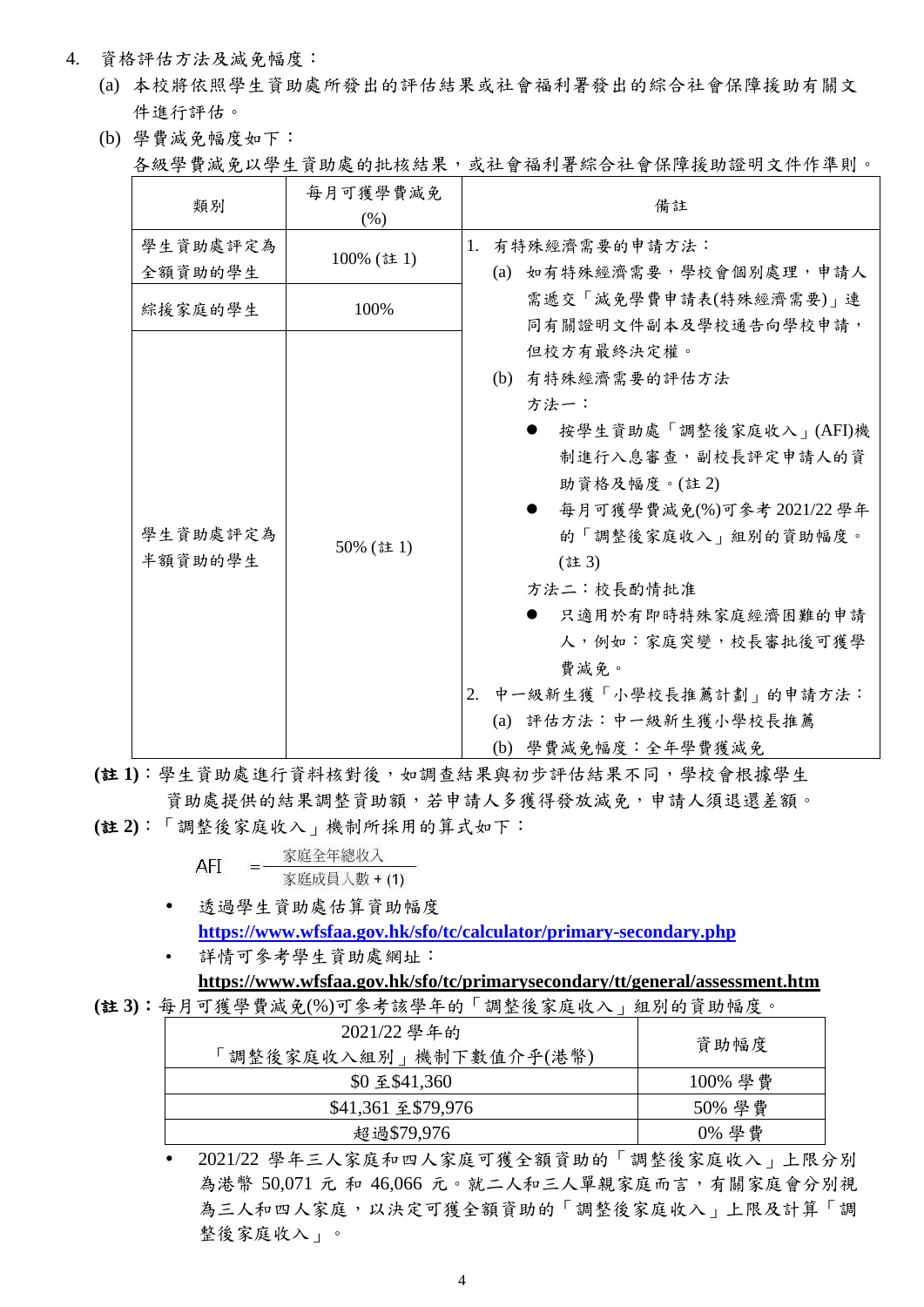- 4. 資格評估方法及減免幅度:
	- (a) 本校將依照學生資助處所發出的評估結果或社會福利署發出的綜合社會保障援助有關文 件進行評估。
	- (b) 學費減免幅度如下:

各級學費減免以學生資助處的批核結果,或社會福利署綜合社會保障援助證明文件作準則。

| 類別                  | 每月可獲學費減免<br>(% ) | 備註                                                                                                                                                                                                                                                                                                                |
|---------------------|------------------|-------------------------------------------------------------------------------------------------------------------------------------------------------------------------------------------------------------------------------------------------------------------------------------------------------------------|
| 學生資助處評定為<br>全額資助的學生 | 100% (註1)        | 有特殊經濟需要的申請方法:<br>1.<br>(a) 如有特殊經濟需要,學校會個別處理,申請人                                                                                                                                                                                                                                                                   |
| 綜援家庭的學生             | 100%             | 需遞交「減免學費申請表(特殊經濟需要)」連<br>同有關證明文件副本及學校通告向學校申請,                                                                                                                                                                                                                                                                     |
| 學生資助處評定為<br>半額資助的學生 | 50% (註1)         | 但校方有最終決定權。<br>(b) 有特殊經濟需要的評估方法<br>方法一:<br>按學生資助處「調整後家庭收入」(AFI)機<br>制進行入息審查,副校長評定申請人的資<br>助資格及幅度。(註2)<br>每月可獲學費減免(%)可參考 2021/22 學年<br>的「調整後家庭收入」組別的資助幅度。<br>(註3)<br>方法二:校長酌情批准<br>只適用於有即時特殊家庭經濟困難的申請<br>人,例如:家庭突變,校長審批後可獲學<br>費減免。<br>中一級新生獲「小學校長推薦計劃」的申請方法:<br>2.<br>(a) 評估方法: 中一級新生獲小學校長推薦<br>(b) 學費減免幅度:全年學費獲減免 |

**(**註 **1)**:學生資助處進行資料核對後,如調查結果與初步評估結果不同,學校會根據學生 資助處提供的結果調整資助額,若申請人多獲得發放減免,申請人須退還差額。

**(**註 **2)**:「調整後家庭收入」機制所採用的算式如下:

| AFI | 家庭全年總收入      |
|-----|--------------|
|     | 家庭成員人數 + (1) |

- 透過學生資助處估算資助幅度 **<https://www.wfsfaa.gov.hk/sfo/tc/calculator/primary-secondary.php>**
- 詳情可參考學生資助處網址: **<https://www.wfsfaa.gov.hk/sfo/tc/primarysecondary/tt/general/assessment.htm>**

**(**註 **3)**:每月可獲學費減免(%)可參考該學年的「調整後家庭收入」組別的資助幅度。

| 2021/22 學年的<br>資助幅度<br>調整後家庭收入組別   機制下數值介乎(港幣) |  |
|------------------------------------------------|--|
| 100% 學費<br>\$0 至 \$41,360                      |  |
| 50% 學費<br>\$41,361 至 \$79,976                  |  |
| 0% 學費<br>超過\$79,976                            |  |

 2021/22 學年三人家庭和四人家庭可獲全額資助的「調整後家庭收入」上限分別 為港幣 50,071 元 和 46,066 元。就二人和三人單親家庭而言,有關家庭會分別視 為三人和四人家庭,以決定可獲全額資助的「調整後家庭收入」上限及計算「調 整後家庭收入」。